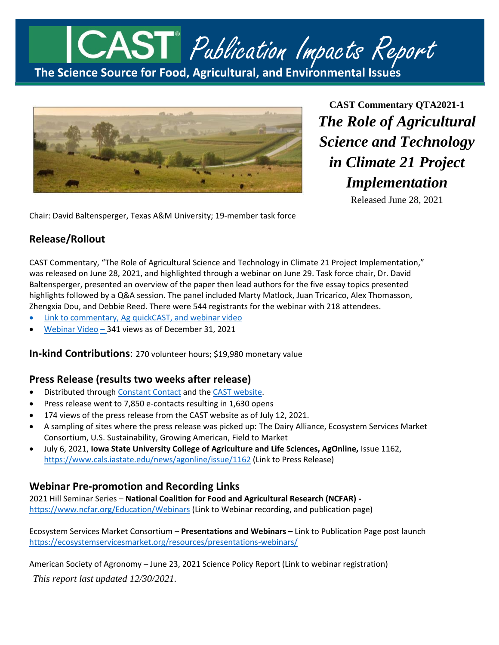



**CAST Commentary QTA2021-1** *The Role of Agricultural Science and Technology in Climate 21 Project Implementation*

Released June 28, 2021

Chair: David Baltensperger, Texas A&M University; 19-member task force

## **Release/Rollout**

CAST Commentary, "The Role of Agricultural Science and Technology in Climate 21 Project Implementation," was released on June 28, 2021, and highlighted through a webinar on June 29. Task force chair, Dr. David Baltensperger, presented an overview of the paper then lead authors for the five essay topics presented highlights followed by a Q&A session. The panel included Marty Matlock, Juan Tricarico, Alex Thomasson, Zhengxia Dou, and Debbie Reed. There were 544 registrants for the webinar with 218 attendees.

- [Link to commentary, Ag](https://www.cast-science.org/publication/the-role-of-agricultural-science-and-technology-in-climate-21-project-implementation/) quickCAST, and webinar video
- [Webinar Video](https://www.youtube.com/watch?v=bGFPSgHbi_g) 341 views as of December 31, 2021

**In-kind Contributions**: 270 volunteer hours; \$19,980 monetary value

#### **Press Release (results two weeks after release)**

- **•** Distributed through [Constant Contact](https://conta.cc/3h5wxlU) and the [CAST website.](https://www.cast-science.org/cast-releases-new-commentary-on-the-role-of-agricultural-science-and-technology-in-climate-21-project-implementation/)
- Press release went to 7,850 e-contacts resulting in 1,630 opens
- 174 views of the press release from the CAST website as of July 12, 2021.
- A sampling of sites where the press release was picked up: The Dairy Alliance, Ecosystem Services Market Consortium, U.S. Sustainability, Growing American, Field to Market
- July 6, 2021, **Iowa State University College of Agriculture and Life Sciences, AgOnline,** Issue 1162, <https://www.cals.iastate.edu/news/agonline/issue/1162> (Link to Press Release)

#### **Webinar Pre-promotion and Recording Links**

2021 Hill Seminar Series – **National Coalition for Food and Agricultural Research (NCFAR)**  <https://www.ncfar.org/Education/Webinars> (Link to Webinar recording, and publication page)

Ecosystem Services Market Consortium – **Presentations and Webinars –** Link to Publication Page post launch <https://ecosystemservicesmarket.org/resources/presentations-webinars/>

American Society of Agronomy – June 23, 2021 Science Policy Report (Link to webinar registration)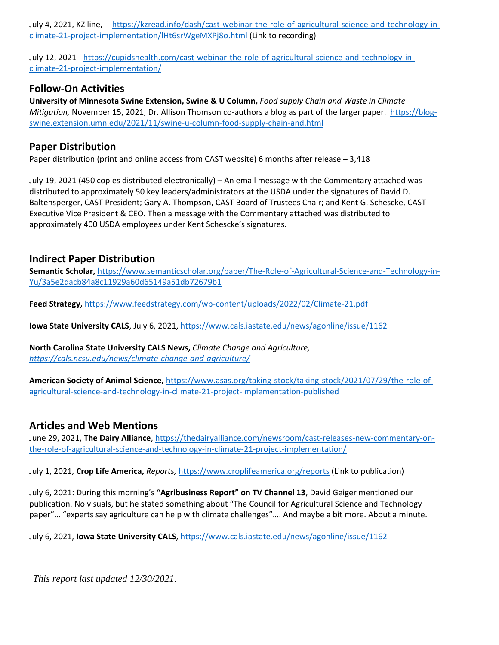July 4, 2021, KZ line, -- [https://kzread.info/dash/cast-webinar-the-role-of-agricultural-science-and-technology-in](https://kzread.info/dash/cast-webinar-the-role-of-agricultural-science-and-technology-in-climate-21-project-implementation/lHt6srWgeMXPj8o.html)[climate-21-project-implementation/lHt6srWgeMXPj8o.html](https://kzread.info/dash/cast-webinar-the-role-of-agricultural-science-and-technology-in-climate-21-project-implementation/lHt6srWgeMXPj8o.html) (Link to recording)

July 12, 2021 - [https://cupidshealth.com/cast-webinar-the-role-of-agricultural-science-and-technology-in](https://cupidshealth.com/cast-webinar-the-role-of-agricultural-science-and-technology-in-climate-21-project-implementation/)[climate-21-project-implementation/](https://cupidshealth.com/cast-webinar-the-role-of-agricultural-science-and-technology-in-climate-21-project-implementation/)

### **Follow-On Activities**

**University of Minnesota Swine Extension, Swine & U Column,** *Food supply Chain and Waste in Climate Mitigation,* November 15, 2021, Dr. Allison Thomson co-authors a blog as part of the larger paper. [https://blog](https://blog-swine.extension.umn.edu/2021/11/swine-u-column-food-supply-chain-and.html)[swine.extension.umn.edu/2021/11/swine-u-column-food-supply-chain-and.html](https://blog-swine.extension.umn.edu/2021/11/swine-u-column-food-supply-chain-and.html)

#### **Paper Distribution**

Paper distribution (print and online access from CAST website) 6 months after release – 3,418

July 19, 2021 (450 copies distributed electronically) – An email message with the Commentary attached was distributed to approximately 50 key leaders/administrators at the USDA under the signatures of David D. Baltensperger, CAST President; Gary A. Thompson, CAST Board of Trustees Chair; and Kent G. Schescke, CAST Executive Vice President & CEO. Then a message with the Commentary attached was distributed to approximately 400 USDA employees under Kent Schescke's signatures.

#### **Indirect Paper Distribution**

**Semantic Scholar,** [https://www.semanticscholar.org/paper/The-Role-of-Agricultural-Science-and-Technology-in-](https://www.semanticscholar.org/paper/The-Role-of-Agricultural-Science-and-Technology-in-Yu/3a5e2dacb84a8c11929a60d65149a51db72679b1)[Yu/3a5e2dacb84a8c11929a60d65149a51db72679b1](https://www.semanticscholar.org/paper/The-Role-of-Agricultural-Science-and-Technology-in-Yu/3a5e2dacb84a8c11929a60d65149a51db72679b1)

**Feed Strategy,** <https://www.feedstrategy.com/wp-content/uploads/2022/02/Climate-21.pdf>

**Iowa State University CALS**, July 6, 2021,<https://www.cals.iastate.edu/news/agonline/issue/1162>

**North Carolina State University CALS News,** *Climate Change and Agriculture, <https://cals.ncsu.edu/news/climate-change-and-agriculture/>*

**American Society of Animal Science,** [https://www.asas.org/taking-stock/taking-stock/2021/07/29/the-role-of](https://www.asas.org/taking-stock/taking-stock/2021/07/29/the-role-of-agricultural-science-and-technology-in-climate-21-project-implementation-published)[agricultural-science-and-technology-in-climate-21-project-implementation-published](https://www.asas.org/taking-stock/taking-stock/2021/07/29/the-role-of-agricultural-science-and-technology-in-climate-21-project-implementation-published)

#### **Articles and Web Mentions**

June 29, 2021, **The Dairy Alliance**, [https://thedairyalliance.com/newsroom/cast-releases-new-commentary-on](https://thedairyalliance.com/newsroom/cast-releases-new-commentary-on-the-role-of-agricultural-science-and-technology-in-climate-21-project-implementation/)[the-role-of-agricultural-science-and-technology-in-climate-21-project-implementation/](https://thedairyalliance.com/newsroom/cast-releases-new-commentary-on-the-role-of-agricultural-science-and-technology-in-climate-21-project-implementation/)

July 1, 2021, **Crop Life America,** *Reports,* <https://www.croplifeamerica.org/reports> (Link to publication)

July 6, 2021: During this morning's **"Agribusiness Report" on TV Channel 13**, David Geiger mentioned our publication. No visuals, but he stated something about "The Council for Agricultural Science and Technology paper"… "experts say agriculture can help with climate challenges"…. And maybe a bit more. About a minute.

July 6, 2021, **Iowa State University CALS**,<https://www.cals.iastate.edu/news/agonline/issue/1162>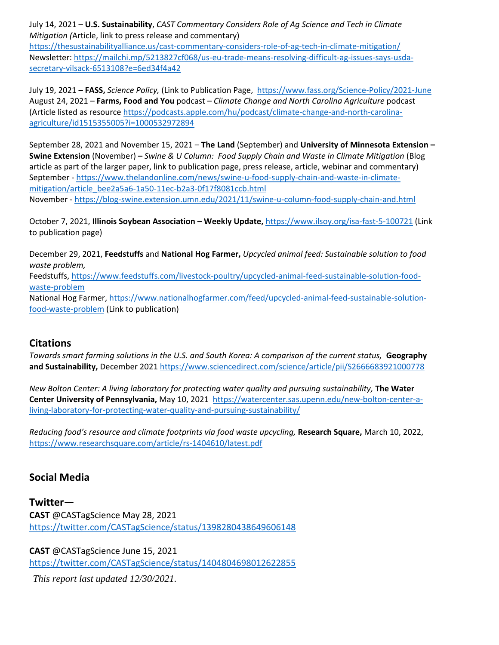July 14, 2021 – **U.S. Sustainability**, *CAST Commentary Considers Role of Ag Science and Tech in Climate Mitigation (*Article, link to press release and commentary)

<https://thesustainabilityalliance.us/cast-commentary-considers-role-of-ag-tech-in-climate-mitigation/> Newsletter: [https://mailchi.mp/5213827cf068/us-eu-trade-means-resolving-difficult-ag-issues-says-usda](https://mailchi.mp/5213827cf068/us-eu-trade-means-resolving-difficult-ag-issues-says-usda-secretary-vilsack-6513108?e=6ed34f4a42)[secretary-vilsack-6513108?e=6ed34f4a42](https://mailchi.mp/5213827cf068/us-eu-trade-means-resolving-difficult-ag-issues-says-usda-secretary-vilsack-6513108?e=6ed34f4a42)

July 19, 2021 – **FASS,** *Science Policy,* (Link to Publication Page, <https://www.fass.org/Science-Policy/2021-June> August 24, 2021 – **Farms, Food and You** podcast – *Climate Change and North Carolina Agriculture* podcast (Article listed as resource [https://podcasts.apple.com/hu/podcast/climate-change-and-north-carolina](https://podcasts.apple.com/hu/podcast/climate-change-and-north-carolina-agriculture/id1515355005?i=1000532972894)[agriculture/id1515355005?i=1000532972894](https://podcasts.apple.com/hu/podcast/climate-change-and-north-carolina-agriculture/id1515355005?i=1000532972894)

September 28, 2021 and November 15, 2021 – **The Land** (September) and **University of Minnesota Extension – Swine Extension** (November) **–** *Swine & U Column: Food Supply Chain and Waste in Climate Mitigation* (Blog article as part of the larger paper, link to publication page, press release, article, webinar and commentary) September - [https://www.thelandonline.com/news/swine-u-food-supply-chain-and-waste-in-climate](https://www.thelandonline.com/news/swine-u-food-supply-chain-and-waste-in-climate-mitigation/article_bee2a5a6-1a50-11ec-b2a3-0f17f8081ccb.html)[mitigation/article\\_bee2a5a6-1a50-11ec-b2a3-0f17f8081ccb.html](https://www.thelandonline.com/news/swine-u-food-supply-chain-and-waste-in-climate-mitigation/article_bee2a5a6-1a50-11ec-b2a3-0f17f8081ccb.html) November - <https://blog-swine.extension.umn.edu/2021/11/swine-u-column-food-supply-chain-and.html>

October 7, 2021, **Illinois Soybean Association – Weekly Update,** <https://www.ilsoy.org/isa-fast-5-100721> (Link to publication page)

December 29, 2021, **Feedstuffs** and **National Hog Farmer,** *Upcycled animal feed: Sustainable solution to food waste problem,* 

Feedstuffs, [https://www.feedstuffs.com/livestock-poultry/upcycled-animal-feed-sustainable-solution-food](https://www.feedstuffs.com/livestock-poultry/upcycled-animal-feed-sustainable-solution-food-waste-problem)[waste-problem](https://www.feedstuffs.com/livestock-poultry/upcycled-animal-feed-sustainable-solution-food-waste-problem)

National Hog Farmer, [https://www.nationalhogfarmer.com/feed/upcycled-animal-feed-sustainable-solution](https://www.nationalhogfarmer.com/feed/upcycled-animal-feed-sustainable-solution-food-waste-problem)[food-waste-problem](https://www.nationalhogfarmer.com/feed/upcycled-animal-feed-sustainable-solution-food-waste-problem) (Link to publication)

#### **Citations**

*Towards smart farming solutions in the U.S. and South Korea: A comparison of the current status,* **Geography and Sustainability,** December 2021<https://www.sciencedirect.com/science/article/pii/S2666683921000778>

*New Bolton Center: A living laboratory for protecting water quality and pursuing sustainability,* The Water **Center University of Pennsylvania,** May 10, 2021[https://watercenter.sas.upenn.edu/new-bolton-center-a](https://watercenter.sas.upenn.edu/new-bolton-center-a-living-laboratory-for-protecting-water-quality-and-pursuing-sustainability/)[living-laboratory-for-protecting-water-quality-and-pursuing-sustainability/](https://watercenter.sas.upenn.edu/new-bolton-center-a-living-laboratory-for-protecting-water-quality-and-pursuing-sustainability/)

*Reducing food's resource and climate footprints via food waste upcycling,* **Research Square,** March 10, 2022, <https://www.researchsquare.com/article/rs-1404610/latest.pdf>

#### **Social Media**

**Twitter— CAST** @CASTagScience May 28, 2021 <https://twitter.com/CASTagScience/status/1398280438649606148>

**CAST** @CASTagScience June 15, 2021 <https://twitter.com/CASTagScience/status/1404804698012622855>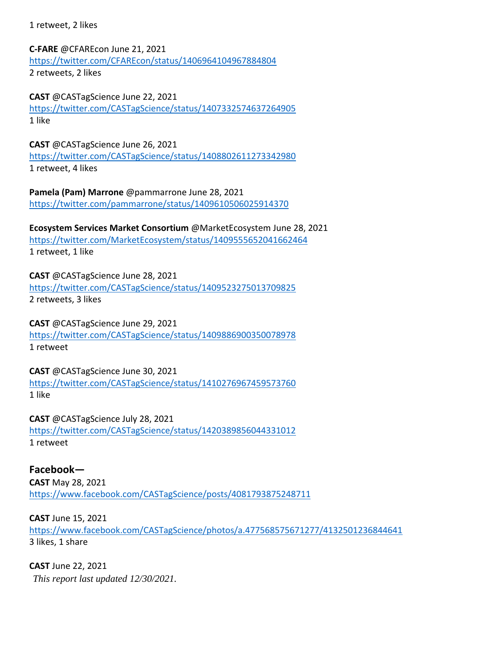1 retweet, 2 likes

**C-FARE** @CFAREcon June 21, 2021 <https://twitter.com/CFAREcon/status/1406964104967884804> 2 retweets, 2 likes

**CAST** @CASTagScience June 22, 2021 <https://twitter.com/CASTagScience/status/1407332574637264905> 1 like

**CAST** @CASTagScience June 26, 2021 <https://twitter.com/CASTagScience/status/1408802611273342980> 1 retweet, 4 likes

**Pamela (Pam) Marrone** @pammarrone June 28, 2021 <https://twitter.com/pammarrone/status/1409610506025914370>

**Ecosystem Services Market Consortium** @MarketEcosystem June 28, 2021 <https://twitter.com/MarketEcosystem/status/1409555652041662464> 1 retweet, 1 like

**CAST** @CASTagScience June 28, 2021 <https://twitter.com/CASTagScience/status/1409523275013709825> 2 retweets, 3 likes

**CAST** @CASTagScience June 29, 2021 <https://twitter.com/CASTagScience/status/1409886900350078978> 1 retweet

**CAST** @CASTagScience June 30, 2021 <https://twitter.com/CASTagScience/status/1410276967459573760> 1 like

**CAST** @CASTagScience July 28, 2021 <https://twitter.com/CASTagScience/status/1420389856044331012> 1 retweet

**Facebook— CAST** May 28, 2021 <https://www.facebook.com/CASTagScience/posts/4081793875248711>

**CAST** June 15, 2021 <https://www.facebook.com/CASTagScience/photos/a.477568575671277/4132501236844641> 3 likes, 1 share

*This report last updated 12/30/2021.* **CAST** June 22, 2021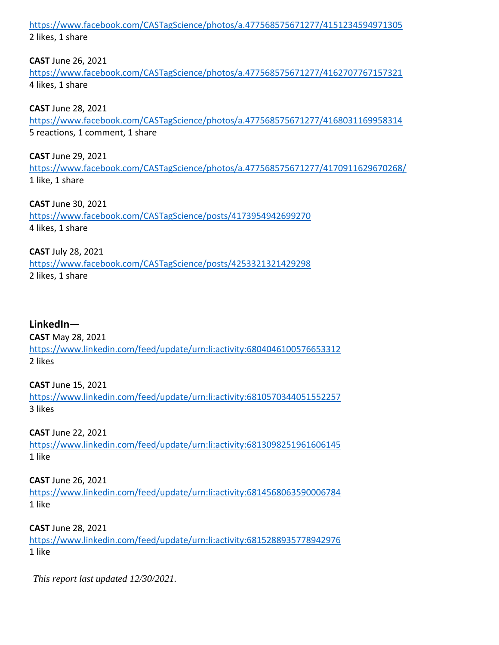<https://www.facebook.com/CASTagScience/photos/a.477568575671277/4151234594971305> 2 likes, 1 share

**CAST** June 26, 2021

<https://www.facebook.com/CASTagScience/photos/a.477568575671277/4162707767157321> 4 likes, 1 share

**CAST** June 28, 2021

<https://www.facebook.com/CASTagScience/photos/a.477568575671277/4168031169958314> 5 reactions, 1 comment, 1 share

**CAST** June 29, 2021 <https://www.facebook.com/CASTagScience/photos/a.477568575671277/4170911629670268/> 1 like, 1 share

**CAST** June 30, 2021 <https://www.facebook.com/CASTagScience/posts/4173954942699270> 4 likes, 1 share

**CAST** July 28, 2021 <https://www.facebook.com/CASTagScience/posts/4253321321429298> 2 likes, 1 share

# **LinkedIn—**

**CAST** May 28, 2021 <https://www.linkedin.com/feed/update/urn:li:activity:6804046100576653312> 2 likes

**CAST** June 15, 2021 <https://www.linkedin.com/feed/update/urn:li:activity:6810570344051552257> 3 likes

**CAST** June 22, 2021 <https://www.linkedin.com/feed/update/urn:li:activity:6813098251961606145> 1 like

**CAST** June 26, 2021 <https://www.linkedin.com/feed/update/urn:li:activity:6814568063590006784> 1 like

**CAST** June 28, 2021 <https://www.linkedin.com/feed/update/urn:li:activity:6815288935778942976> 1 like